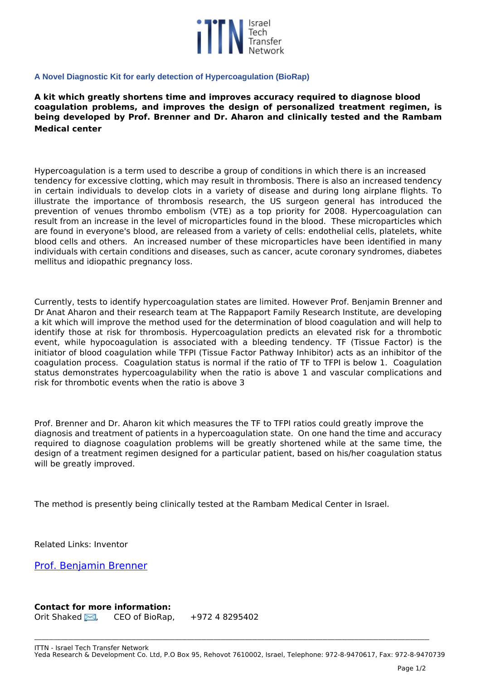

## **A Novel Diagnostic Kit for early detection of Hypercoagulation (BioRap)**

**A kit which greatly shortens time and improves accuracy required to diagnose blood coagulation problems, and improves the design of personalized treatment regimen, is being developed by Prof. Brenner and Dr. Aharon and clinically tested and the Rambam Medical center**

*Hypercoagulation is a term used to describe a group of conditions in which there is an increased tendency for excessive clotting, which may result in thrombosis. There is also an increased tendency in certain individuals to develop clots in a variety of disease and during long airplane flights. To illustrate the importance of thrombosis research, the US surgeon general has introduced the prevention of venues thrombo embolism (VTE) as a top priority for 2008. Hypercoagulation can result from an increase in the level of microparticles found in the blood. These microparticles which are found in everyone's blood, are released from a variety of cells: endothelial cells, platelets, white blood cells and others. An increased number of these microparticles have been identified in many individuals with certain conditions and diseases, such as cancer, acute coronary syndromes, diabetes mellitus and idiopathic pregnancy loss.* 

*Currently, tests to identify hypercoagulation states are limited. However Prof. Benjamin Brenner and Dr Anat Aharon and their research team at The Rappaport Family Research Institute, are developing a kit which will improve the method used for the determination of blood coagulation and will help to identify those at risk for thrombosis. Hypercoagulation predicts an elevated risk for a thrombotic event, while hypocoagulation is associated with a bleeding tendency. TF (Tissue Factor) is the initiator of blood coagulation while TFPI (Tissue Factor Pathway Inhibitor) acts as an inhibitor of the coagulation process. Coagulation status is normal if the ratio of TF to TFPI is below 1. Coagulation status demonstrates hypercoagulability when the ratio is above 1 and vascular complications and risk for thrombotic events when the ratio is above 3*

*Prof. Brenner and Dr. Aharon kit which measures the TF to TFPI ratios could greatly improve the diagnosis and treatment of patients in a hypercoagulation state. On one hand the time and accuracy required to diagnose coagulation problems will be greatly shortened while at the same time, the design of a treatment regimen designed for a particular patient, based on his/her coagulation status will be greatly improved.* 

*The method is presently being clinically tested at the Rambam Medical Center in Israel.*

*Related Links: Inventor* 

*[Prof. Benjamin Brenner](http://www.rappinst.com/Rappaport/Templates/ShowPage.asp?DBID=1&TMID=610&FID=77&PID=224&IID=237)*

**Contact for more information:**

*Orit Shaked [,](http://www.ittn.org.il/technology.php?tech_id=62472&act=contact_page) CEO of BioRap, +972 4 8295402* 

**\_\_\_\_\_\_\_\_\_\_\_\_\_\_\_\_\_\_\_\_\_\_\_\_\_\_\_\_\_\_\_\_\_\_\_\_\_\_\_\_\_\_\_\_\_\_\_\_\_\_\_\_\_\_\_\_\_\_\_\_\_\_\_\_\_\_\_\_\_\_\_\_\_\_\_\_\_\_\_\_\_\_\_\_\_\_\_\_\_\_\_\_\_\_\_\_\_\_\_\_\_\_\_\_\_\_\_\_\_\_\_\_\_\_\_\_\_\_\_\_\_\_\_\_\_\_\_\_\_\_\_\_\_\_\_\_\_\_\_\_\_\_\_\_\_\_\_\_\_\_\_\_\_\_\_\_\_\_\_\_\_\_\_**